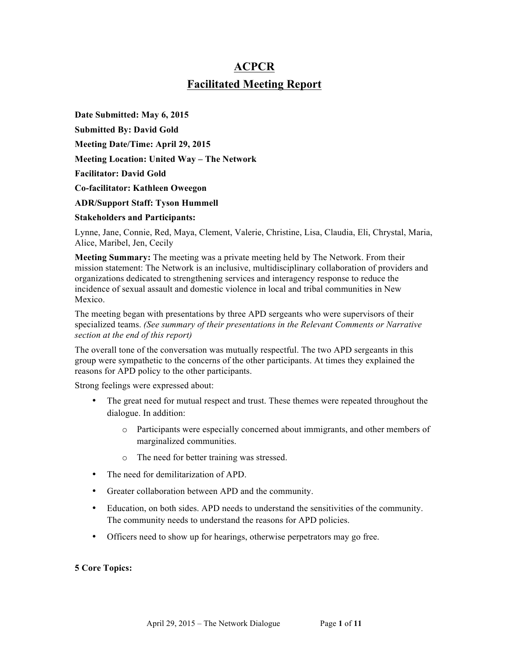# **ACPCR Facilitated Meeting Report**

**Date Submitted: May 6, 2015 Submitted By: David Gold Meeting Date/Time: April 29, 2015 Meeting Location: United Way – The Network Facilitator: David Gold Co-facilitator: Kathleen Oweegon ADR/Support Staff: Tyson Hummell**

**Stakeholders and Participants:**

Lynne, Jane, Connie, Red, Maya, Clement, Valerie, Christine, Lisa, Claudia, Eli, Chrystal, Maria, Alice, Maribel, Jen, Cecily

**Meeting Summary:** The meeting was a private meeting held by The Network. From their mission statement: The Network is an inclusive, multidisciplinary collaboration of providers and organizations dedicated to strengthening services and interagency response to reduce the incidence of sexual assault and domestic violence in local and tribal communities in New Mexico.

The meeting began with presentations by three APD sergeants who were supervisors of their specialized teams. *(See summary of their presentations in the Relevant Comments or Narrative section at the end of this report)*

The overall tone of the conversation was mutually respectful. The two APD sergeants in this group were sympathetic to the concerns of the other participants. At times they explained the reasons for APD policy to the other participants.

Strong feelings were expressed about:

- The great need for mutual respect and trust. These themes were repeated throughout the dialogue. In addition:
	- o Participants were especially concerned about immigrants, and other members of marginalized communities.
	- o The need for better training was stressed.
- The need for demilitarization of APD.
- Greater collaboration between APD and the community.
- Education, on both sides. APD needs to understand the sensitivities of the community. The community needs to understand the reasons for APD policies.
- Officers need to show up for hearings, otherwise perpetrators may go free.

#### **5 Core Topics:**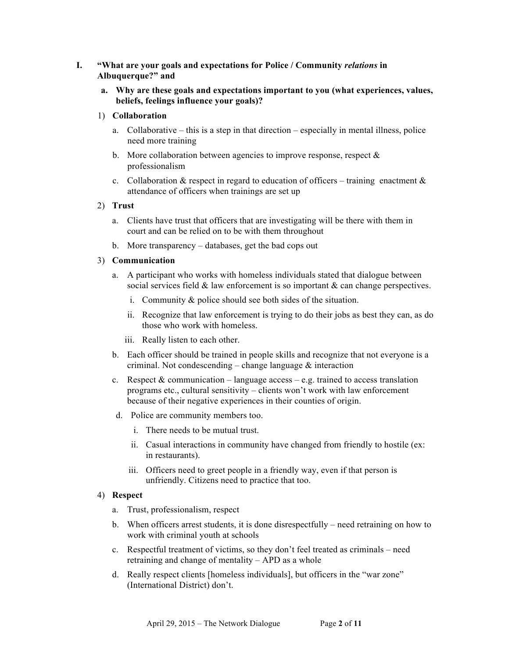# **I. "What are your goals and expectations for Police / Community** *relations* **in Albuquerque?" and**

**a. Why are these goals and expectations important to you (what experiences, values, beliefs, feelings influence your goals)?** 

# 1) **Collaboration**

- a. Collaborative this is a step in that direction especially in mental illness, police need more training
- b. More collaboration between agencies to improve response, respect  $\&$ professionalism
- c. Collaboration & respect in regard to education of officers training enactment  $\&$ attendance of officers when trainings are set up

# 2) **Trust**

- a. Clients have trust that officers that are investigating will be there with them in court and can be relied on to be with them throughout
- b. More transparency databases, get the bad cops out

#### 3) **Communication**

- a. A participant who works with homeless individuals stated that dialogue between social services field  $\&$  law enforcement is so important  $\&$  can change perspectives.
	- i. Community & police should see both sides of the situation.
	- ii. Recognize that law enforcement is trying to do their jobs as best they can, as do those who work with homeless.
	- iii. Really listen to each other.
- b. Each officer should be trained in people skills and recognize that not everyone is a criminal. Not condescending – change language  $\&$  interaction
- c. Respect  $&$  communication language access e.g. trained to access translation programs etc., cultural sensitivity – clients won't work with law enforcement because of their negative experiences in their counties of origin.
- d. Police are community members too.
	- i. There needs to be mutual trust.
	- ii. Casual interactions in community have changed from friendly to hostile (ex: in restaurants).
	- iii. Officers need to greet people in a friendly way, even if that person is unfriendly. Citizens need to practice that too.

# 4) **Respect**

- a. Trust, professionalism, respect
- b. When officers arrest students, it is done disrespectfully need retraining on how to work with criminal youth at schools
- c. Respectful treatment of victims, so they don't feel treated as criminals need retraining and change of mentality – APD as a whole
- d. Really respect clients [homeless individuals], but officers in the "war zone" (International District) don't.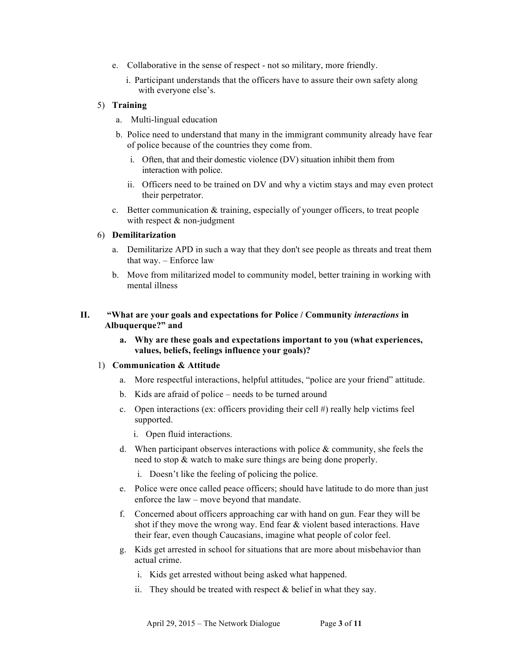- e. Collaborative in the sense of respect not so military, more friendly.
	- i. Participant understands that the officers have to assure their own safety along with everyone else's.

# 5) **Training**

- a. Multi-lingual education
- b. Police need to understand that many in the immigrant community already have fear of police because of the countries they come from.
	- i. Often, that and their domestic violence (DV) situation inhibit them from interaction with police.
	- ii. Officers need to be trained on DV and why a victim stays and may even protect their perpetrator.
- c. Better communication & training, especially of younger officers, to treat people with respect  $&$  non-judgment

# 6) **Demilitarization**

- a. Demilitarize APD in such a way that they don't see people as threats and treat them that way. – Enforce law
- b. Move from militarized model to community model, better training in working with mental illness

# **II. "What are your goals and expectations for Police / Community** *interactions* **in Albuquerque?" and**

**a. Why are these goals and expectations important to you (what experiences, values, beliefs, feelings influence your goals)?** 

# 1) **Communication & Attitude**

- a. More respectful interactions, helpful attitudes, "police are your friend" attitude.
- b. Kids are afraid of police needs to be turned around
- c. Open interactions (ex: officers providing their cell #) really help victims feel supported.
	- i. Open fluid interactions.
- d. When participant observes interactions with police  $\&$  community, she feels the need to stop & watch to make sure things are being done properly.
	- i. Doesn't like the feeling of policing the police.
- e. Police were once called peace officers; should have latitude to do more than just enforce the law – move beyond that mandate.
- f. Concerned about officers approaching car with hand on gun. Fear they will be shot if they move the wrong way. End fear  $\&$  violent based interactions. Have their fear, even though Caucasians, imagine what people of color feel.
- g. Kids get arrested in school for situations that are more about misbehavior than actual crime.
	- i. Kids get arrested without being asked what happened.
	- ii. They should be treated with respect  $\&$  belief in what they say.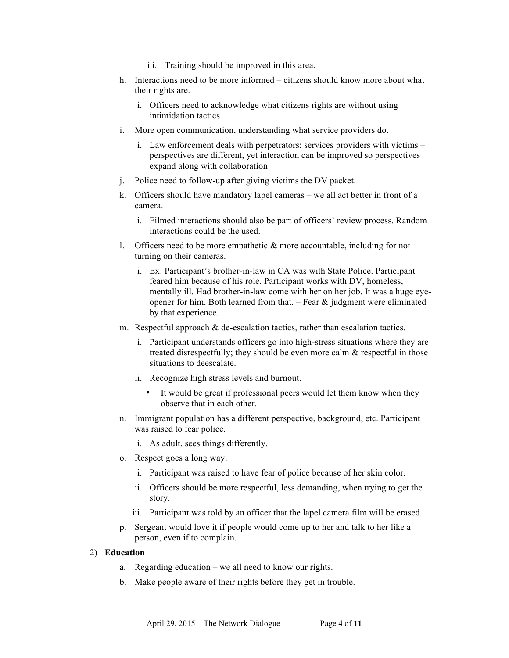- iii. Training should be improved in this area.
- h. Interactions need to be more informed citizens should know more about what their rights are.
	- i. Officers need to acknowledge what citizens rights are without using intimidation tactics
- i. More open communication, understanding what service providers do.
	- i. Law enforcement deals with perpetrators; services providers with victims perspectives are different, yet interaction can be improved so perspectives expand along with collaboration
- j. Police need to follow-up after giving victims the DV packet.
- k. Officers should have mandatory lapel cameras we all act better in front of a camera.
	- i. Filmed interactions should also be part of officers' review process. Random interactions could be the used.
- 1. Officers need to be more empathetic  $\&$  more accountable, including for not turning on their cameras.
	- i. Ex: Participant's brother-in-law in CA was with State Police. Participant feared him because of his role. Participant works with DV, homeless, mentally ill. Had brother-in-law come with her on her job. It was a huge eyeopener for him. Both learned from that.  $-$  Fear  $\&$  judgment were eliminated by that experience.
- m. Respectful approach  $\&$  de-escalation tactics, rather than escalation tactics.
	- i. Participant understands officers go into high-stress situations where they are treated disrespectfully; they should be even more calm & respectful in those situations to deescalate.
	- ii. Recognize high stress levels and burnout.
		- It would be great if professional peers would let them know when they observe that in each other.
- n. Immigrant population has a different perspective, background, etc. Participant was raised to fear police.
	- i. As adult, sees things differently.
- o. Respect goes a long way.
	- i. Participant was raised to have fear of police because of her skin color.
	- ii. Officers should be more respectful, less demanding, when trying to get the story.
	- iii. Participant was told by an officer that the lapel camera film will be erased.
- p. Sergeant would love it if people would come up to her and talk to her like a person, even if to complain.

# 2) **Education**

- a. Regarding education we all need to know our rights.
- b. Make people aware of their rights before they get in trouble.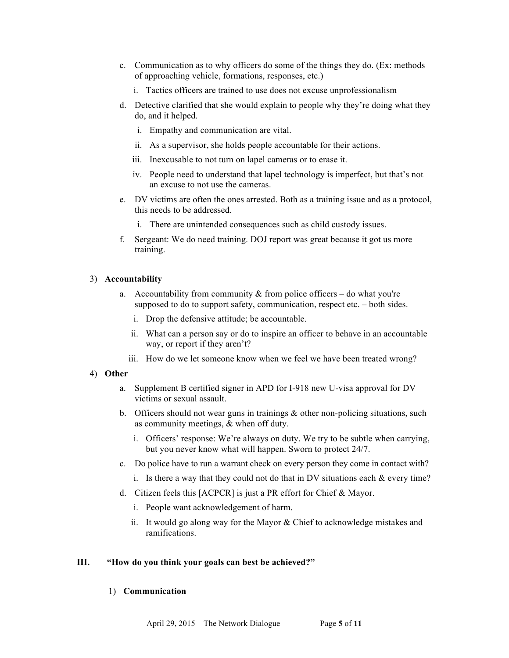- c. Communication as to why officers do some of the things they do. (Ex: methods of approaching vehicle, formations, responses, etc.)
	- i. Tactics officers are trained to use does not excuse unprofessionalism
- d. Detective clarified that she would explain to people why they're doing what they do, and it helped.
	- i. Empathy and communication are vital.
	- ii. As a supervisor, she holds people accountable for their actions.
	- iii. Inexcusable to not turn on lapel cameras or to erase it.
	- iv. People need to understand that lapel technology is imperfect, but that's not an excuse to not use the cameras.
- e. DV victims are often the ones arrested. Both as a training issue and as a protocol, this needs to be addressed.
	- i. There are unintended consequences such as child custody issues.
- f. Sergeant: We do need training. DOJ report was great because it got us more training.

# 3) **Accountability**

- a. Accountability from community  $\&$  from police officers do what you're supposed to do to support safety, communication, respect etc. – both sides.
	- i. Drop the defensive attitude; be accountable.
	- ii. What can a person say or do to inspire an officer to behave in an accountable way, or report if they aren't?
	- iii. How do we let someone know when we feel we have been treated wrong?

# 4) **Other**

- a. Supplement B certified signer in APD for I-918 new U-visa approval for DV victims or sexual assault.
- b. Officers should not wear guns in trainings  $\&$  other non-policing situations, such as community meetings, & when off duty.
	- i. Officers' response: We're always on duty. We try to be subtle when carrying, but you never know what will happen. Sworn to protect 24/7.
- c. Do police have to run a warrant check on every person they come in contact with?
	- i. Is there a way that they could not do that in DV situations each & every time?
- d. Citizen feels this [ACPCR] is just a PR effort for Chief & Mayor.
	- i. People want acknowledgement of harm.
	- ii. It would go along way for the Mayor  $&$  Chief to acknowledge mistakes and ramifications.

# **III. "How do you think your goals can best be achieved?"**

# 1) **Communication**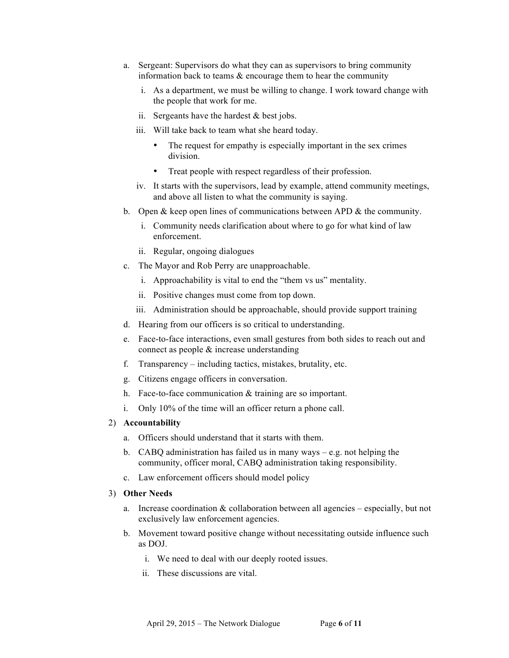- a. Sergeant: Supervisors do what they can as supervisors to bring community information back to teams & encourage them to hear the community
	- i. As a department, we must be willing to change. I work toward change with the people that work for me.
	- ii. Sergeants have the hardest  $&$  best jobs.
	- iii. Will take back to team what she heard today.
		- The request for empathy is especially important in the sex crimes division.
		- Treat people with respect regardless of their profession.
	- iv. It starts with the supervisors, lead by example, attend community meetings, and above all listen to what the community is saying.
- b. Open  $\&$  keep open lines of communications between APD  $\&$  the community.
	- i. Community needs clarification about where to go for what kind of law enforcement.
	- ii. Regular, ongoing dialogues
- c. The Mayor and Rob Perry are unapproachable.
	- i. Approachability is vital to end the "them vs us" mentality.
	- ii. Positive changes must come from top down.
	- iii. Administration should be approachable, should provide support training
- d. Hearing from our officers is so critical to understanding.
- e. Face-to-face interactions, even small gestures from both sides to reach out and connect as people & increase understanding
- f. Transparency including tactics, mistakes, brutality, etc.
- g. Citizens engage officers in conversation.
- h. Face-to-face communication & training are so important.
- i. Only 10% of the time will an officer return a phone call.

#### 2) **Accountability**

- a. Officers should understand that it starts with them.
- b. CABQ administration has failed us in many ways e.g. not helping the community, officer moral, CABQ administration taking responsibility.
- c. Law enforcement officers should model policy

#### 3) **Other Needs**

- a. Increase coordination  $&$  collaboration between all agencies especially, but not exclusively law enforcement agencies.
- b. Movement toward positive change without necessitating outside influence such as DOJ.
	- i. We need to deal with our deeply rooted issues.
	- ii. These discussions are vital.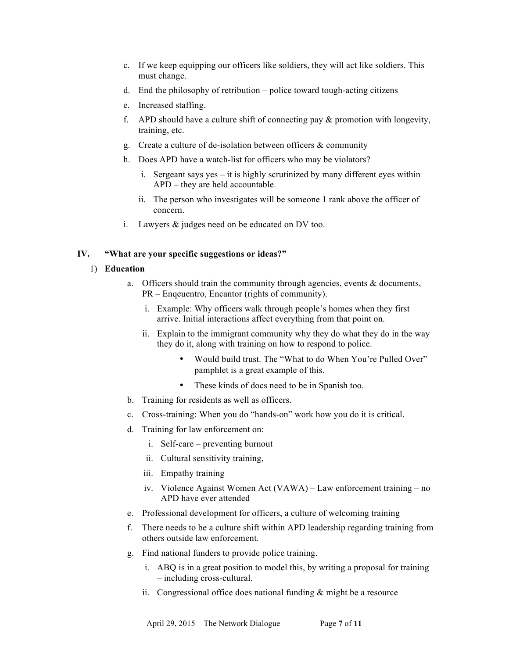- c. If we keep equipping our officers like soldiers, they will act like soldiers. This must change.
- d. End the philosophy of retribution police toward tough-acting citizens
- e. Increased staffing.
- f. APD should have a culture shift of connecting pay  $\&$  promotion with longevity, training, etc.
- g. Create a culture of de-isolation between officers  $\&$  community
- h. Does APD have a watch-list for officers who may be violators?
	- i. Sergeant says yes it is highly scrutinized by many different eyes within APD – they are held accountable.
	- ii. The person who investigates will be someone 1 rank above the officer of concern.
- i. Lawyers & judges need on be educated on DV too.

# **IV. "What are your specific suggestions or ideas?"**

# 1) **Education**

- a. Officers should train the community through agencies, events & documents, PR – Enqeuentro, Encantor (rights of community).
	- i. Example: Why officers walk through people's homes when they first arrive. Initial interactions affect everything from that point on.
	- ii. Explain to the immigrant community why they do what they do in the way they do it, along with training on how to respond to police.
		- Would build trust. The "What to do When You're Pulled Over" pamphlet is a great example of this.
		- These kinds of docs need to be in Spanish too.
- b. Training for residents as well as officers.
- c. Cross-training: When you do "hands-on" work how you do it is critical.
- d. Training for law enforcement on:
	- i. Self-care preventing burnout
	- ii. Cultural sensitivity training,
	- iii. Empathy training
	- iv. Violence Against Women Act (VAWA) Law enforcement training no APD have ever attended
- e. Professional development for officers, a culture of welcoming training
- f. There needs to be a culture shift within APD leadership regarding training from others outside law enforcement.
- g. Find national funders to provide police training.
	- i. ABQ is in a great position to model this, by writing a proposal for training – including cross-cultural.
	- ii. Congressional office does national funding  $&$  might be a resource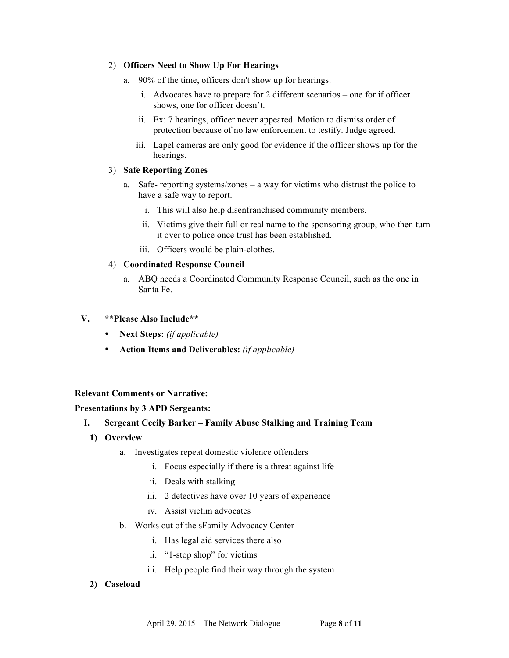# 2) **Officers Need to Show Up For Hearings**

- a. 90% of the time, officers don't show up for hearings.
	- i. Advocates have to prepare for 2 different scenarios one for if officer shows, one for officer doesn't.
	- ii. Ex: 7 hearings, officer never appeared. Motion to dismiss order of protection because of no law enforcement to testify. Judge agreed.
	- iii. Lapel cameras are only good for evidence if the officer shows up for the hearings.

### 3) **Safe Reporting Zones**

- a. Safe- reporting systems/zones a way for victims who distrust the police to have a safe way to report.
	- i. This will also help disenfranchised community members.
	- ii. Victims give their full or real name to the sponsoring group, who then turn it over to police once trust has been established.
	- iii. Officers would be plain-clothes.

#### 4) **Coordinated Response Council**

a. ABQ needs a Coordinated Community Response Council, such as the one in Santa Fe.

#### **V. \*\*Please Also Include\*\***

- **Next Steps:** *(if applicable)*
- **Action Items and Deliverables:** *(if applicable)*

# **Relevant Comments or Narrative:**

# **Presentations by 3 APD Sergeants:**

# **I. Sergeant Cecily Barker – Family Abuse Stalking and Training Team**

- **1) Overview**
	- a. Investigates repeat domestic violence offenders
		- i. Focus especially if there is a threat against life
		- ii. Deals with stalking
		- iii. 2 detectives have over 10 years of experience
		- iv. Assist victim advocates
	- b. Works out of the sFamily Advocacy Center
		- i. Has legal aid services there also
		- ii. "1-stop shop" for victims
		- iii. Help people find their way through the system

#### **2) Caseload**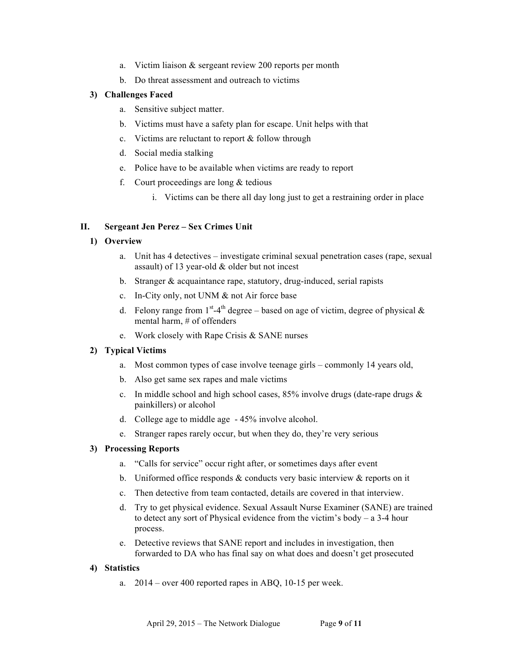- a. Victim liaison & sergeant review 200 reports per month
- b. Do threat assessment and outreach to victims

#### **3) Challenges Faced**

- a. Sensitive subject matter.
- b. Victims must have a safety plan for escape. Unit helps with that
- c. Victims are reluctant to report & follow through
- d. Social media stalking
- e. Police have to be available when victims are ready to report
- f. Court proceedings are long  $&$  tedious
	- i. Victims can be there all day long just to get a restraining order in place

#### **II. Sergeant Jen Perez – Sex Crimes Unit**

#### **1) Overview**

- a. Unit has 4 detectives investigate criminal sexual penetration cases (rape, sexual assault) of 13 year-old & older but not incest
- b. Stranger & acquaintance rape, statutory, drug-induced, serial rapists
- c. In-City only, not UNM & not Air force base
- d. Felony range from  $1<sup>st</sup>-4<sup>th</sup>$  degree based on age of victim, degree of physical  $\&$ mental harm, # of offenders
- e. Work closely with Rape Crisis & SANE nurses

# **2) Typical Victims**

- a. Most common types of case involve teenage girls commonly 14 years old,
- b. Also get same sex rapes and male victims
- c. In middle school and high school cases, 85% involve drugs (date-rape drugs & painkillers) or alcohol
- d. College age to middle age 45% involve alcohol.
- e. Stranger rapes rarely occur, but when they do, they're very serious

#### **3) Processing Reports**

- a. "Calls for service" occur right after, or sometimes days after event
- b. Uniformed office responds  $\&$  conducts very basic interview  $\&$  reports on it
- c. Then detective from team contacted, details are covered in that interview.
- d. Try to get physical evidence. Sexual Assault Nurse Examiner (SANE) are trained to detect any sort of Physical evidence from the victim's body – a 3-4 hour process.
- e. Detective reviews that SANE report and includes in investigation, then forwarded to DA who has final say on what does and doesn't get prosecuted

#### **4) Statistics**

a. 2014 – over 400 reported rapes in ABQ, 10-15 per week.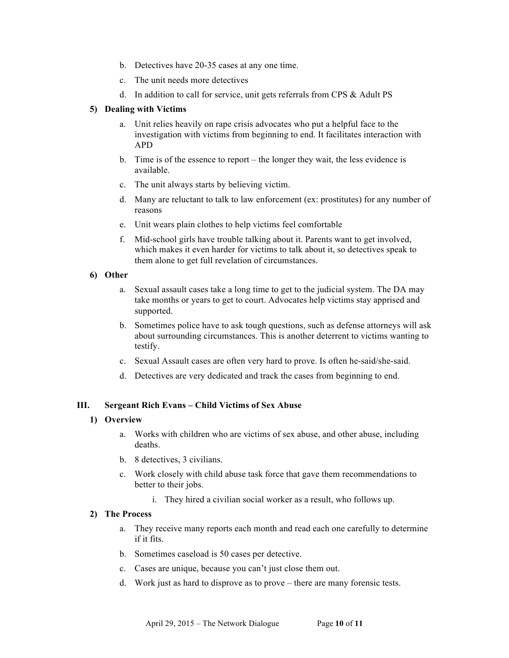- b. Detectives have 20-35 cases at any one time.
- c. The unit needs more detectives
- d. In addition to call for service, unit gets referrals from CPS & Adult PS

## **5) Dealing with Victims**

- a. Unit relies heavily on rape crisis advocates who put a helpful face to the investigation with victims from beginning to end. It facilitates interaction with APD
- b. Time is of the essence to report the longer they wait, the less evidence is available.
- c. The unit always starts by believing victim.
- d. Many are reluctant to talk to law enforcement (ex: prostitutes) for any number of reasons
- e. Unit wears plain clothes to help victims feel comfortable
- f. Mid-school girls have trouble talking about it. Parents want to get involved, which makes it even harder for victims to talk about it, so detectives speak to them alone to get full revelation of circumstances.

#### **6) Other**

- a. Sexual assault cases take a long time to get to the judicial system. The DA may take months or years to get to court. Advocates help victims stay apprised and supported.
- b. Sometimes police have to ask tough questions, such as defense attorneys will ask about surrounding circumstances. This is another deterrent to victims wanting to testify.
- c. Sexual Assault cases are often very hard to prove. Is often he-said/she-said.
- d. Detectives are very dedicated and track the cases from beginning to end.

# **III. Sergeant Rich Evans – Child Victims of Sex Abuse**

#### **1) Overview**

- a. Works with children who are victims of sex abuse, and other abuse, including deaths.
- b. 8 detectives, 3 civilians.
- c. Work closely with child abuse task force that gave them recommendations to better to their jobs.
	- i. They hired a civilian social worker as a result, who follows up.

## **2) The Process**

- a. They receive many reports each month and read each one carefully to determine if it fits.
- b. Sometimes caseload is 50 cases per detective.
- c. Cases are unique, because you can't just close them out.
- d. Work just as hard to disprove as to prove there are many forensic tests.